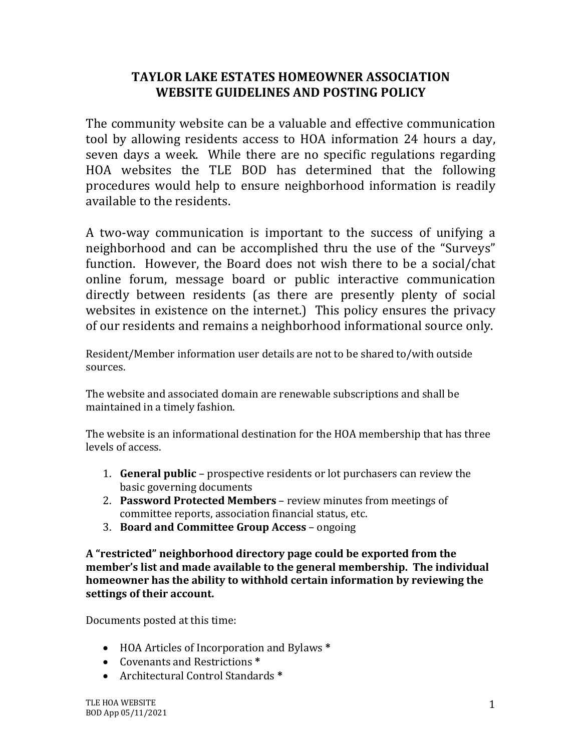## **TAYLOR LAKE ESTATES HOMEOWNER ASSOCIATION WEBSITE GUIDELINES AND POSTING POLICY**

The community website can be a valuable and effective communication tool by allowing residents access to HOA information 24 hours a day, seven days a week. While there are no specific regulations regarding HOA websites the TLE BOD has determined that the following procedures would help to ensure neighborhood information is readily available to the residents.

A two-way communication is important to the success of unifying a neighborhood and can be accomplished thru the use of the "Surveys" function. However, the Board does not wish there to be a social/chat online forum, message board or public interactive communication directly between residents (as there are presently plenty of social websites in existence on the internet.) This policy ensures the privacy of our residents and remains a neighborhood informational source only.

Resident/Member information user details are not to be shared to/with outside sources. 

The website and associated domain are renewable subscriptions and shall be maintained in a timely fashion.

The website is an informational destination for the HOA membership that has three levels of access.

- 1. **General public** prospective residents or lot purchasers can review the basic governing documents
- 2. **Password Protected Members** review minutes from meetings of committee reports, association financial status, etc.
- 3. Board and Committee Group Access ongoing

A "restricted" neighborhood directory page could be exported from the member's list and made available to the general membership. The individual **homeowner has the ability to withhold certain information by reviewing the** settings of their account.

Documents posted at this time:

- HOA Articles of Incorporation and Bylaws **\***
- Covenants and Restrictions \*
- Architectural Control Standards **\***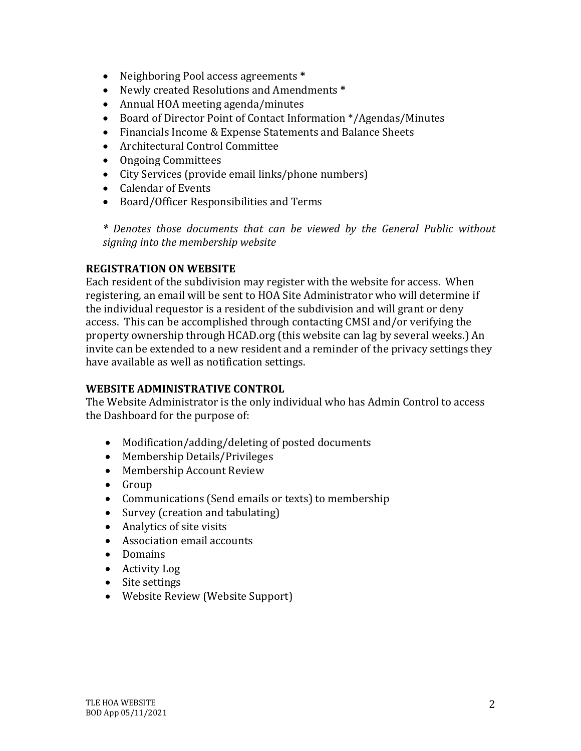- Neighboring Pool access agreements \*
- Newly created Resolutions and Amendments **\***
- Annual HOA meeting agenda/minutes
- Board of Director Point of Contact Information \*/Agendas/Minutes
- Financials Income & Expense Statements and Balance Sheets
- Architectural Control Committee
- Ongoing Committees
- City Services (provide email links/phone numbers)
- Calendar of Events
- Board/Officer Responsibilities and Terms

\* Denotes those documents that can be viewed by the General Public without *signing into the membership website*

## **REGISTRATION ON WEBSITE**

Each resident of the subdivision may register with the website for access. When registering, an email will be sent to HOA Site Administrator who will determine if the individual requestor is a resident of the subdivision and will grant or deny access. This can be accomplished through contacting CMSI and/or verifying the property ownership through HCAD.org (this website can lag by several weeks.) An invite can be extended to a new resident and a reminder of the privacy settings they have available as well as notification settings.

## **WEBSITE ADMINISTRATIVE CONTROL**

The Website Administrator is the only individual who has Admin Control to access the Dashboard for the purpose of:

- Modification/adding/deleting of posted documents
- Membership Details/Privileges
- Membership Account Review
- Group
- Communications (Send emails or texts) to membership
- Survey (creation and tabulating)
- $\bullet$  Analytics of site visits
- Association email accounts
- Domains
- Activity Log
- Site settings
- Website Review (Website Support)